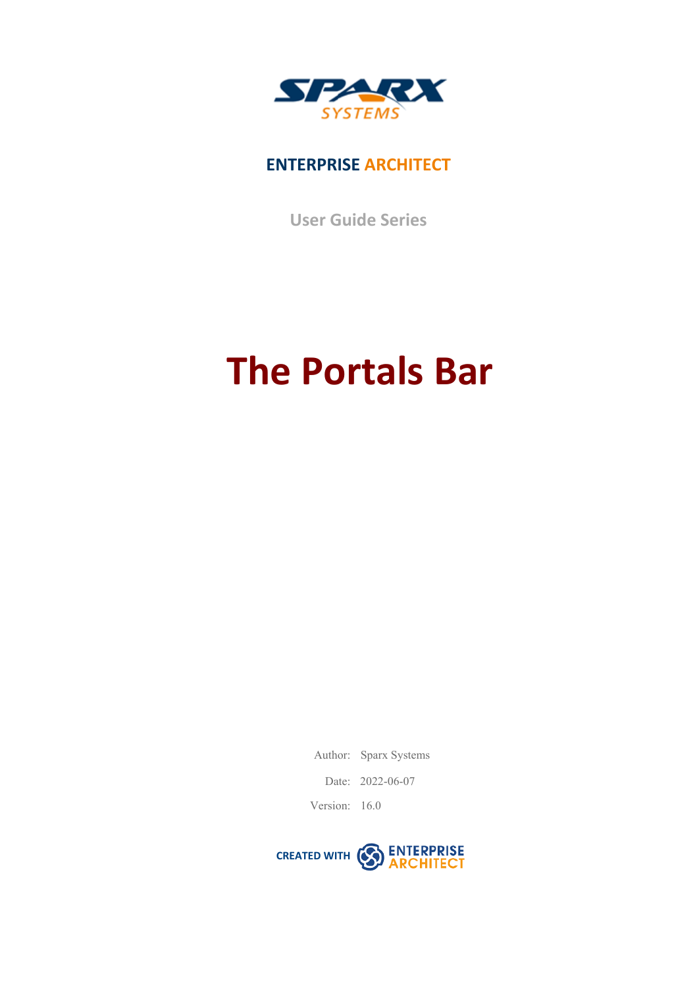

### **ENTERPRISE ARCHITECT**

**User Guide Series**

# **The Portals Bar**

Author: Sparx Systems

Date: 2022-06-07

Version: 16.0

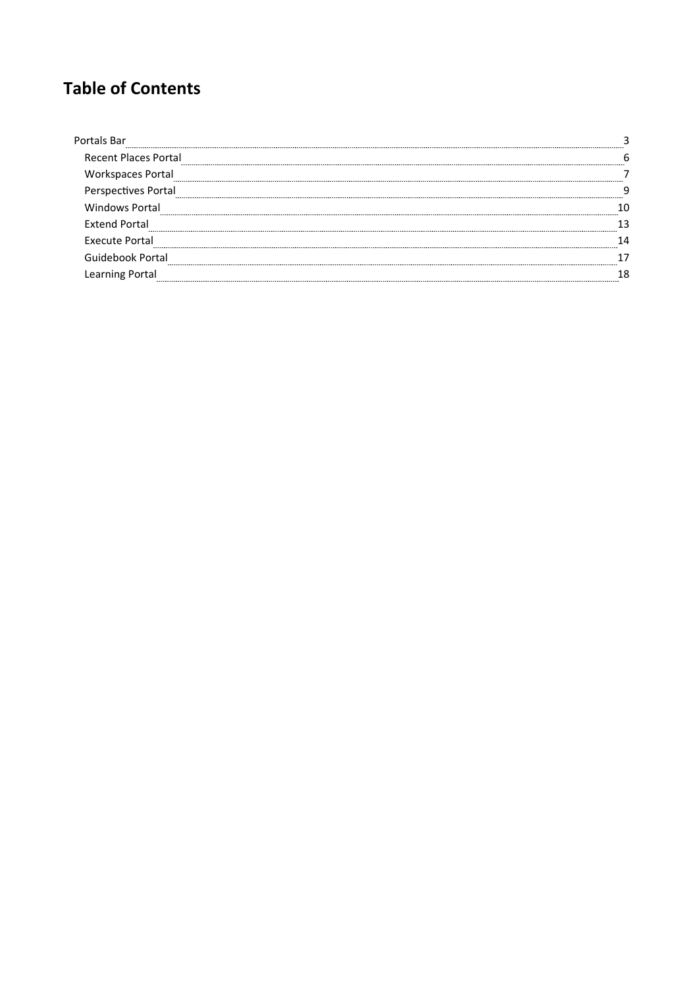### **Table of Contents**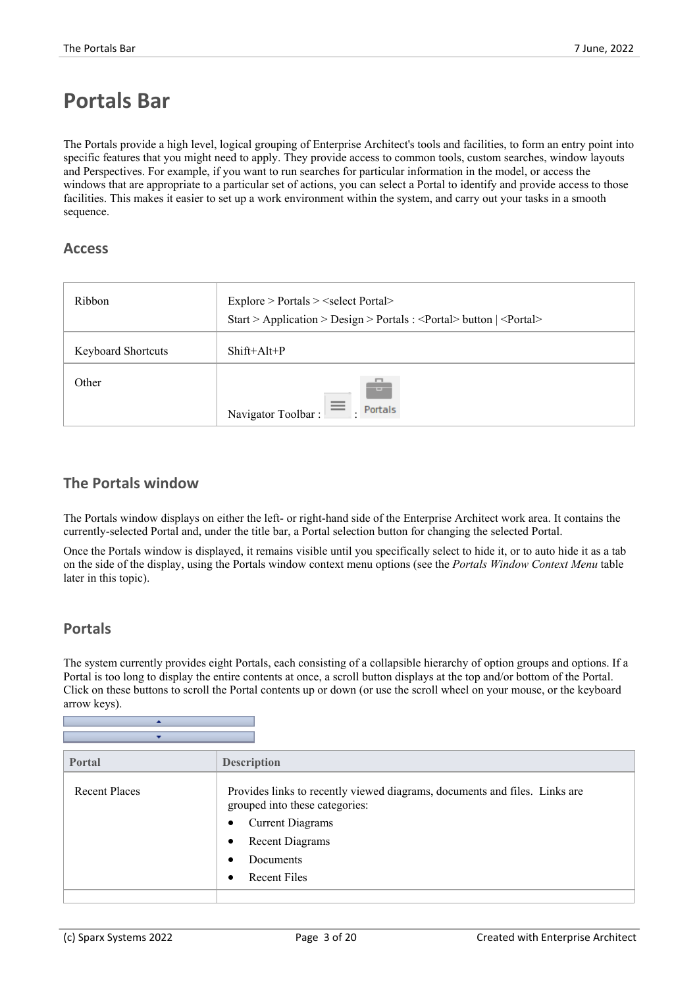### **Portals Bar**

The Portals provide a high level, logical grouping of Enterprise Architect's tools and facilities, to form an entry point into specific features that you might need to apply. They provide access to common tools, custom searches, window layouts and Perspectives. For example, if you want to run searches for particular information in the model, or access the windows that are appropriate to a particular set of actions, you can selecta Portal to identify and provide access to those facilities. This makes it easier to set up a work environment within the system, and carry out your tasks in a smooth sequence.

#### **Access**

| Ribbon                    | Explore > Portals > <select portal=""><br/>Start &gt; Application &gt; Design &gt; Portals : &lt; Portal &gt; button   &lt; Portal &gt;</select> |
|---------------------------|--------------------------------------------------------------------------------------------------------------------------------------------------|
| <b>Keyboard Shortcuts</b> | $Shift+Alt+P$                                                                                                                                    |
| Other                     | $-1$<br>Navigator Toolbar : $\equiv$ .<br>. Portals                                                                                              |

### **The Portals window**

The Portals window displays on either the left- or right-hand side of the Enterprise Architect work area. It contains the currently-selected Portal and, under the title bar, a Portal selection button for changing the selected Portal.

Once the Portals window is displayed, it remains visible until you specifically select to hide it, orto auto hide it as a tab on the side of the display, using the Portals window context menu options (see the *Portals Window Context Menu* table later in this topic).

### **Portals**

The system currently provides eight Portals, each consisting of a collapsible hierarchy of option groups and options. If a Portal is too long to display the entire contents at once, a scroll button displays at the top and/or bottom of the Portal. Click on these buttons to scroll the Portal contents up or down (or use the scroll wheel on your mouse, or the keyboard arrow keys).

| Portal        | <b>Description</b>                                                                                                                                                                                                                    |
|---------------|---------------------------------------------------------------------------------------------------------------------------------------------------------------------------------------------------------------------------------------|
| Recent Places | Provides links to recently viewed diagrams, documents and files. Links are<br>grouped into these categories:<br><b>Current Diagrams</b><br>$\bullet$<br><b>Recent Diagrams</b><br>$\bullet$<br>Documents<br>$\bullet$<br>Recent Files |
|               |                                                                                                                                                                                                                                       |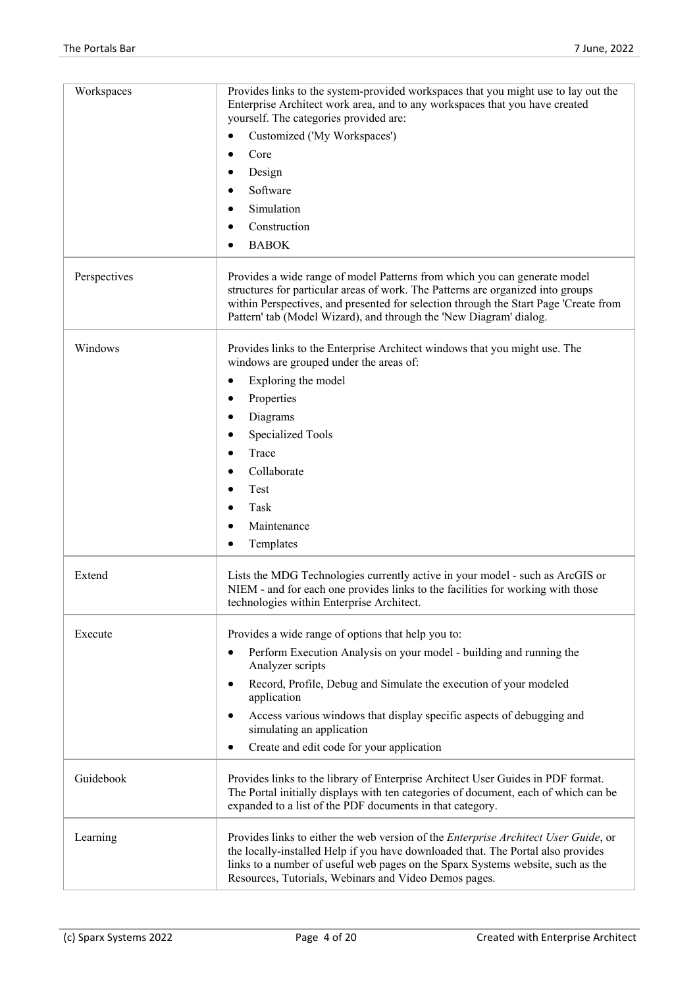| Workspaces   | Provides links to the system-provided workspaces that you might use to lay out the                                                                                                                                                                                                                                         |
|--------------|----------------------------------------------------------------------------------------------------------------------------------------------------------------------------------------------------------------------------------------------------------------------------------------------------------------------------|
|              | Enterprise Architect work area, and to any workspaces that you have created<br>yourself. The categories provided are:                                                                                                                                                                                                      |
|              | Customized ('My Workspaces')                                                                                                                                                                                                                                                                                               |
|              | Core                                                                                                                                                                                                                                                                                                                       |
|              | Design                                                                                                                                                                                                                                                                                                                     |
|              | Software                                                                                                                                                                                                                                                                                                                   |
|              | Simulation                                                                                                                                                                                                                                                                                                                 |
|              | Construction                                                                                                                                                                                                                                                                                                               |
|              | <b>BABOK</b>                                                                                                                                                                                                                                                                                                               |
| Perspectives | Provides a wide range of model Patterns from which you can generate model<br>structures for particular areas of work. The Patterns are organized into groups<br>within Perspectives, and presented for selection through the Start Page 'Create from<br>Pattern' tab (Model Wizard), and through the 'New Diagram' dialog. |
| Windows      | Provides links to the Enterprise Architect windows that you might use. The<br>windows are grouped under the areas of:                                                                                                                                                                                                      |
|              | Exploring the model                                                                                                                                                                                                                                                                                                        |
|              | Properties                                                                                                                                                                                                                                                                                                                 |
|              | Diagrams                                                                                                                                                                                                                                                                                                                   |
|              | <b>Specialized Tools</b>                                                                                                                                                                                                                                                                                                   |
|              | Trace                                                                                                                                                                                                                                                                                                                      |
|              | Collaborate                                                                                                                                                                                                                                                                                                                |
|              | Test                                                                                                                                                                                                                                                                                                                       |
|              | Task<br>٠                                                                                                                                                                                                                                                                                                                  |
|              | Maintenance                                                                                                                                                                                                                                                                                                                |
|              | Templates                                                                                                                                                                                                                                                                                                                  |
| Extend       | Lists the MDG Technologies currently active in your model - such as ArcGIS or<br>NIEM - and for each one provides links to the facilities for working with those<br>technologies within Enterprise Architect.                                                                                                              |
| Execute      | Provides a wide range of options that help you to:                                                                                                                                                                                                                                                                         |
|              | Perform Execution Analysis on your model - building and running the<br>Analyzer scripts                                                                                                                                                                                                                                    |
|              | Record, Profile, Debug and Simulate the execution of your modeled<br>application                                                                                                                                                                                                                                           |
|              | Access various windows that display specific aspects of debugging and<br>simulating an application                                                                                                                                                                                                                         |
|              | Create and edit code for your application<br>٠                                                                                                                                                                                                                                                                             |
| Guidebook    | Provides links to the library of Enterprise Architect User Guides in PDF format.<br>The Portal initially displays with ten categories of document, each of which can be<br>expanded to a list of the PDF documents in that category.                                                                                       |
| Learning     | Provides links to either the web version of the Enterprise Architect User Guide, or<br>the locally-installed Help if you have downloaded that. The Portal also provides<br>links to a number of useful web pages on the Sparx Systems website, such as the<br>Resources, Tutorials, Webinars and Video Demos pages.        |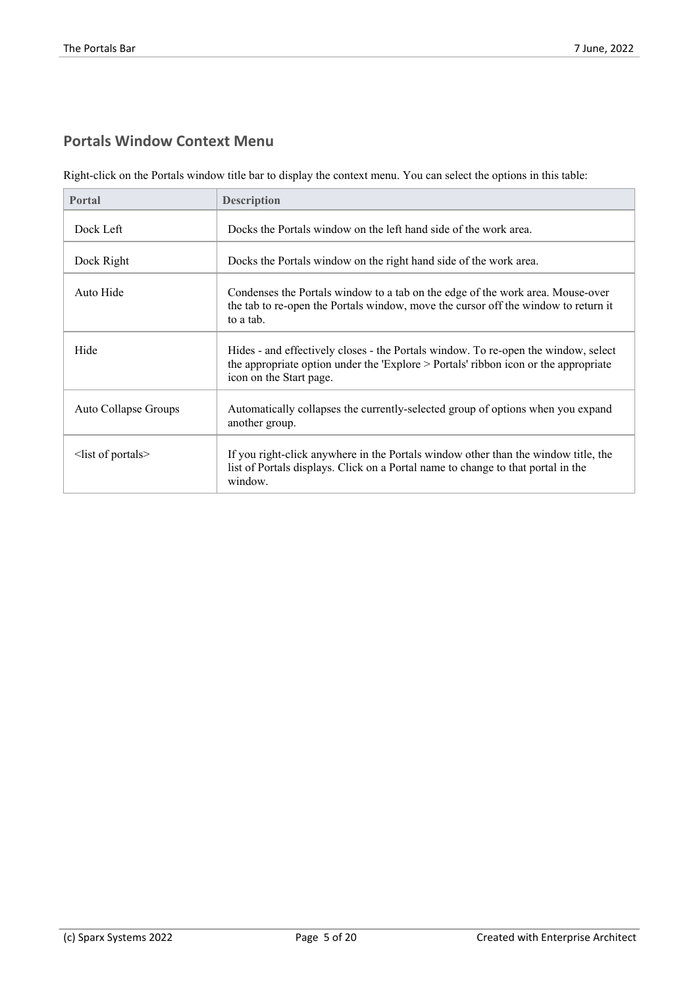### **Portals Window Context Menu**

Right-click on the Portals window title bar to display the context menu. You can select the options in this table:

| <b>Portal</b>          | <b>Description</b>                                                                                                                                                                                   |
|------------------------|------------------------------------------------------------------------------------------------------------------------------------------------------------------------------------------------------|
| Dock Left              | Docks the Portals window on the left hand side of the work area.                                                                                                                                     |
| Dock Right             | Docks the Portals window on the right hand side of the work area.                                                                                                                                    |
| Auto Hide              | Condenses the Portals window to a tab on the edge of the work area. Mouse-over<br>the tab to re-open the Portals window, move the cursor off the window to return it<br>to a tab.                    |
| Hide                   | Hides - and effectively closes - the Portals window. To re-open the window, select<br>the appropriate option under the 'Explore > Portals' ribbon icon or the appropriate<br>icon on the Start page. |
| Auto Collapse Groups   | Automatically collapses the currently-selected group of options when you expand<br>another group.                                                                                                    |
| $\le$ list of portals> | If you right-click anywhere in the Portals window other than the window title, the<br>list of Portals displays. Click on a Portal name to change to that portal in the<br>window.                    |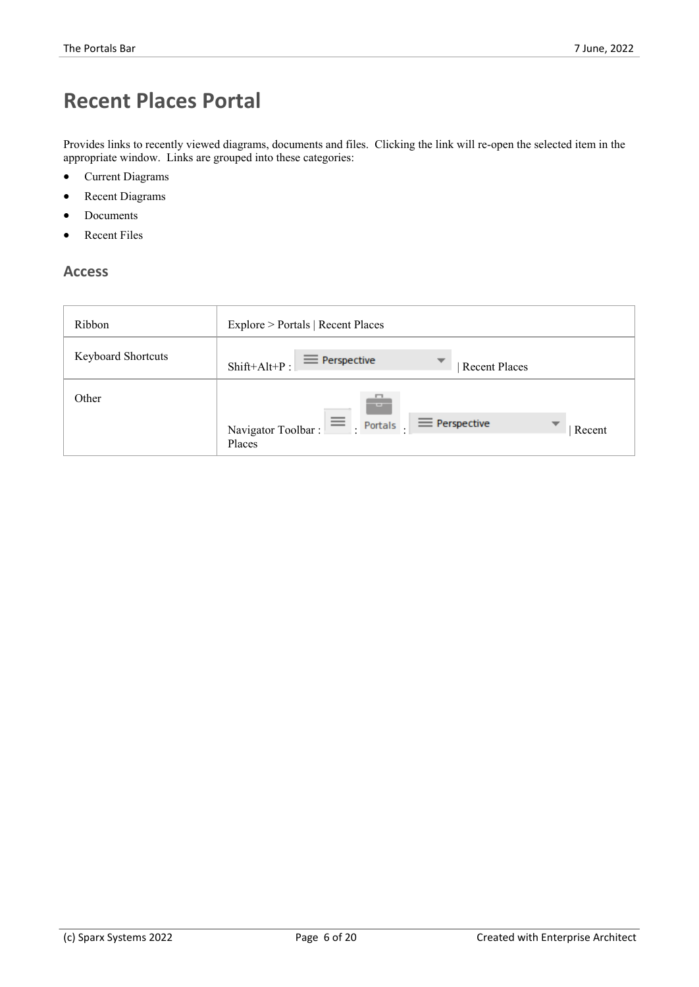# **Recent Places Portal**

Provides links to recently viewed diagrams, documents and files. Clicking the link will re-open the selected item in the appropriate window. Links are grouped into these categories:

- Current Diagrams
- Recent Diagrams
- Documents
- **Recent Files**

#### **Access**

| Ribbon                    | Explore > Portals   Recent Places                                                               |
|---------------------------|-------------------------------------------------------------------------------------------------|
| <b>Keyboard Shortcuts</b> | $\equiv$ Perspective<br>▼<br>$Shift+Alt+P:$<br><b>Recent Places</b>                             |
| Other                     | - - -<br>$\equiv$<br>$\equiv$ Perspective<br>Portals.<br>Navigator Toolbar:<br>Recent<br>Places |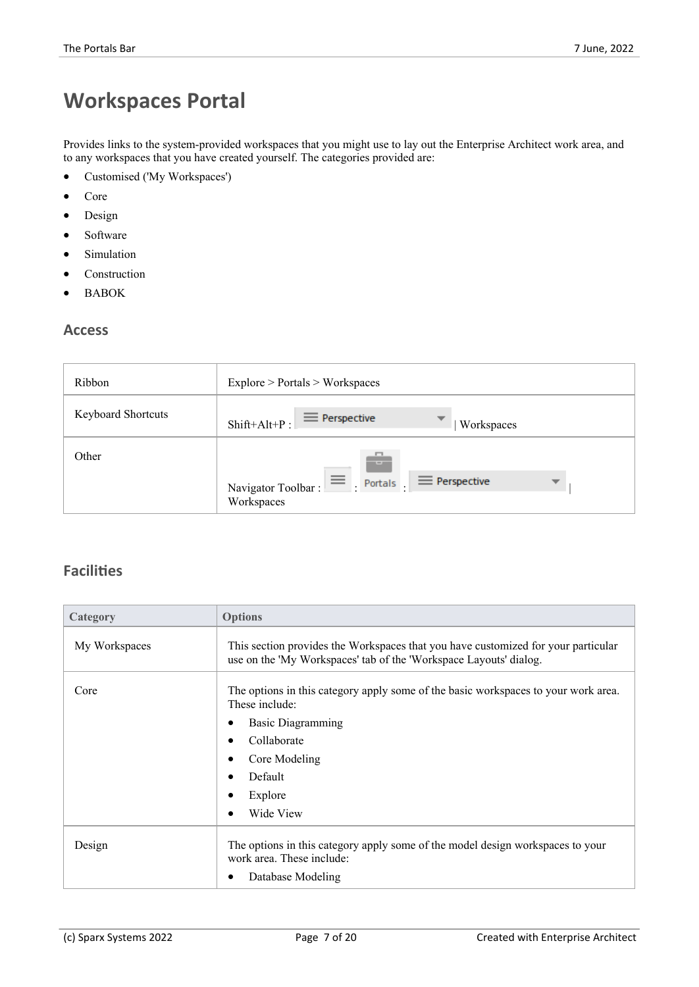# **Workspaces Portal**

Provides links to the system-provided workspaces that you might use to lay out the Enterprise Architect work area, and to any workspaces that you have created yourself. The categories provided are:

- · Customised ('My Workspaces')
- · Core
- Design
- Software
- **Simulation**
- **Construction**
- · BABOK

#### **Access**

| Ribbon                    | Explore > Portals > Workspaces                                                                             |
|---------------------------|------------------------------------------------------------------------------------------------------------|
| <b>Keyboard Shortcuts</b> | $\equiv$ Perspective<br>▼<br>$Shift+Alt+P:$<br>Workspaces                                                  |
| Other                     | -<br><b>STATISTICS</b><br>$\equiv$<br>$\equiv$ Perspective<br>Portals.<br>Navigator Toolbar:<br>Workspaces |

| Category      | <b>Options</b>                                                                                                                                         |
|---------------|--------------------------------------------------------------------------------------------------------------------------------------------------------|
| My Workspaces | This section provides the Workspaces that you have customized for your particular<br>use on the 'My Workspaces' tab of the 'Workspace Layouts' dialog. |
| Core          | The options in this category apply some of the basic workspaces to your work area.<br>These include:                                                   |
|               | <b>Basic Diagramming</b><br>٠                                                                                                                          |
|               | Collaborate<br>$\bullet$                                                                                                                               |
|               | Core Modeling<br>٠                                                                                                                                     |
|               | Default<br>٠                                                                                                                                           |
|               | Explore<br>٠                                                                                                                                           |
|               | Wide View<br>$\bullet$                                                                                                                                 |
| Design        | The options in this category apply some of the model design workspaces to your<br>work area. These include:                                            |
|               | Database Modeling<br>٠                                                                                                                                 |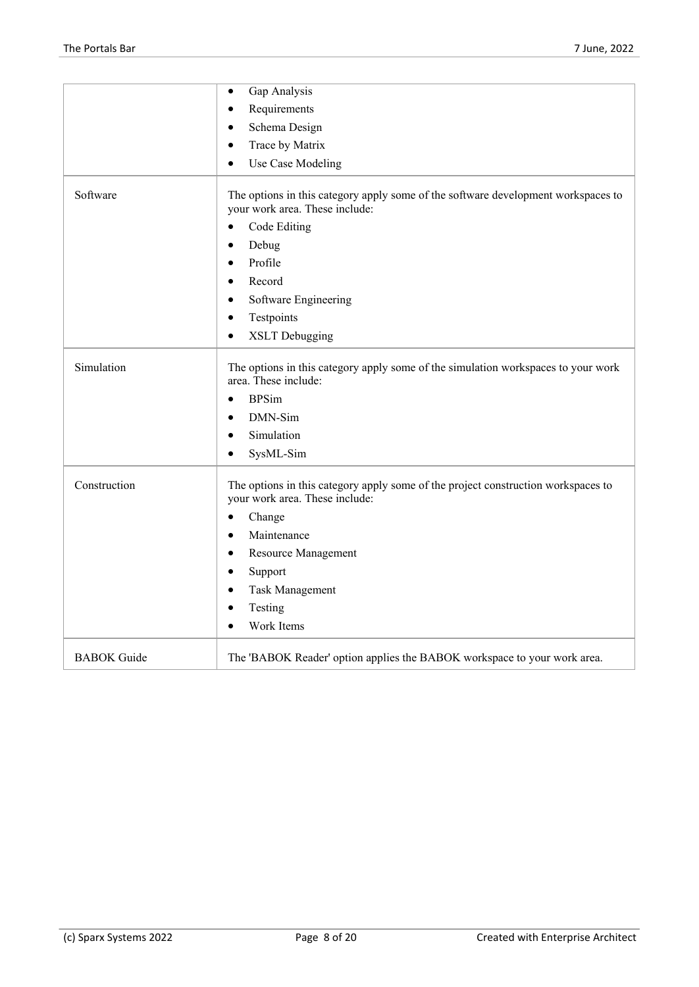|                    | Gap Analysis<br>$\bullet$                                                                                           |
|--------------------|---------------------------------------------------------------------------------------------------------------------|
|                    | Requirements<br>$\bullet$                                                                                           |
|                    | Schema Design<br>$\bullet$                                                                                          |
|                    | Trace by Matrix<br>$\bullet$                                                                                        |
|                    | Use Case Modeling<br>$\bullet$                                                                                      |
| Software           | The options in this category apply some of the software development workspaces to<br>your work area. These include: |
|                    | Code Editing<br>$\bullet$                                                                                           |
|                    | Debug<br>$\bullet$                                                                                                  |
|                    | Profile<br>$\bullet$                                                                                                |
|                    | Record<br>$\bullet$                                                                                                 |
|                    | Software Engineering<br>$\bullet$                                                                                   |
|                    | Testpoints<br>$\bullet$                                                                                             |
|                    | <b>XSLT</b> Debugging<br>$\bullet$                                                                                  |
| Simulation         | The options in this category apply some of the simulation workspaces to your work<br>area. These include:           |
|                    | <b>BPSim</b><br>$\bullet$                                                                                           |
|                    | DMN-Sim<br>$\bullet$                                                                                                |
|                    | Simulation<br>$\bullet$                                                                                             |
|                    | SysML-Sim<br>$\bullet$                                                                                              |
| Construction       | The options in this category apply some of the project construction workspaces to<br>your work area. These include: |
|                    | Change<br>$\bullet$                                                                                                 |
|                    | Maintenance<br>$\bullet$                                                                                            |
|                    | Resource Management<br>$\bullet$                                                                                    |
|                    | Support<br>$\bullet$                                                                                                |
|                    | Task Management<br>$\bullet$                                                                                        |
|                    | Testing<br>$\bullet$                                                                                                |
|                    | Work Items<br>$\bullet$                                                                                             |
| <b>BABOK</b> Guide | The 'BABOK Reader' option applies the BABOK workspace to your work area.                                            |
|                    |                                                                                                                     |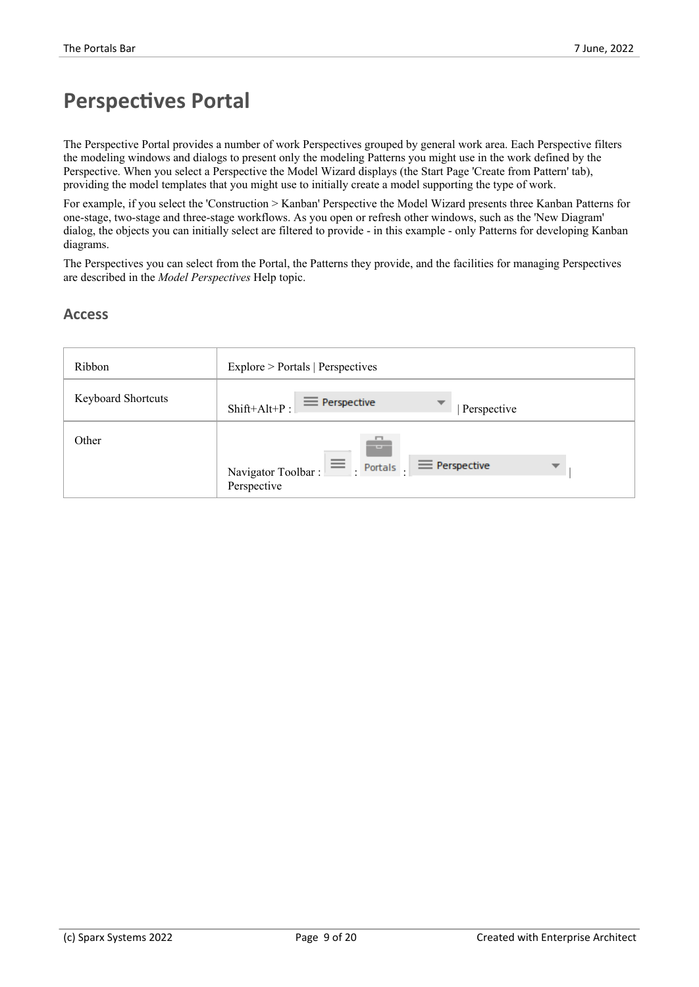### **Perspectives Portal**

The Perspective Portal provides a number of work Perspectives grouped by general work area. Each Perspective filters the modeling windows and dialogs to present only the modeling Patterns you might use in the work defined by the Perspective. When you select a Perspective the Model Wizard displays (the Start Page 'Create from Pattern' tab), providing the model templates that you might use to initially create a model supporting the type of work.

For example, if you select the 'Construction > Kanban' Perspective the Model Wizard presents three Kanban Patterns for one-stage, two-stage and three-stage workflows. As you open or refresh other windows, such as the 'New Diagram' dialog, the objects you can initially select are filtered to provide - in this example - only Patterns for developing Kanban diagrams.

The Perspectives you can select from the Portal, the Patterns they provide, and the facilities for managing Perspectives are described in the *Model Perspectives* Help topic.

#### **Access**

| Ribbon                    | Explore > Portals   Perspectives                                                                        |
|---------------------------|---------------------------------------------------------------------------------------------------------|
| <b>Keyboard Shortcuts</b> | $\equiv$ Perspective<br>▼<br>$Shift+Alt+P:$<br>Perspective                                              |
| Other                     | <b>COLLECTIVE</b><br>$\equiv$<br>$\equiv$ Perspective<br>Portals .<br>Navigator Toolbar:<br>Perspective |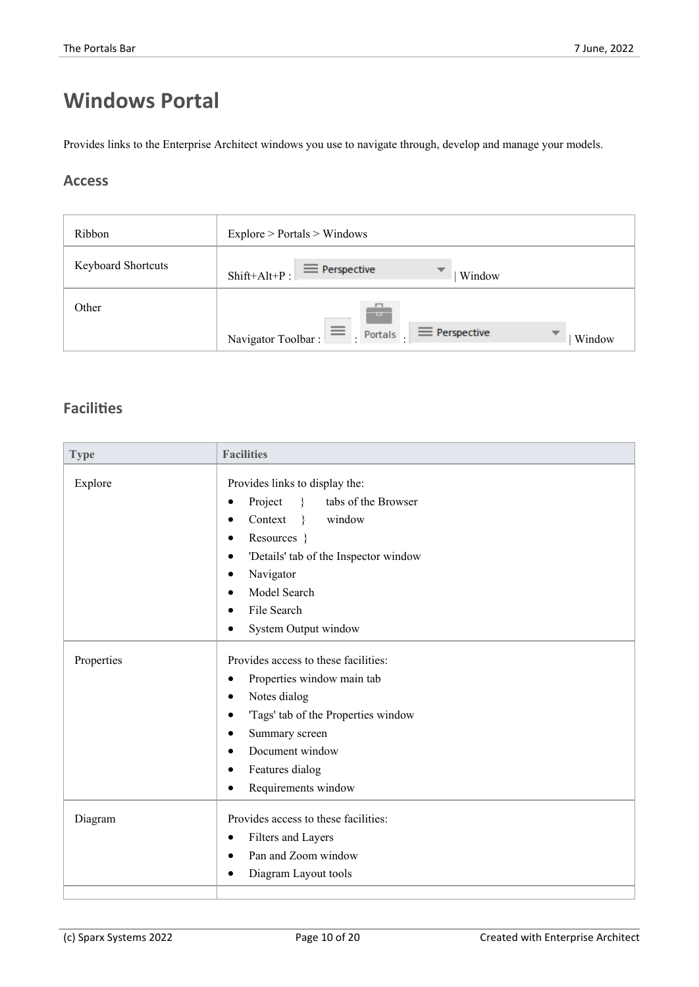# **Windows Portal**

Provides links to the Enterprise Architect windows you use to navigate through, develop and manage your models.

### **Access**

| Ribbon                    | Explore > Portals > Windows                                                                                           |
|---------------------------|-----------------------------------------------------------------------------------------------------------------------|
| <b>Keyboard Shortcuts</b> | $\equiv$ Perspective<br>$\overline{\phantom{a}}$<br>$Shift+Alt+P:$<br>Window                                          |
| Other                     | F.<br>$-1$<br>$\equiv$<br>$\equiv$ Perspective<br>$\overline{\phantom{a}}$<br>Portals<br>Navigator Toolbar:<br>Window |

| <b>Type</b> | <b>Facilities</b>                                                                                                                                                                                                                                   |
|-------------|-----------------------------------------------------------------------------------------------------------------------------------------------------------------------------------------------------------------------------------------------------|
| Explore     | Provides links to display the:<br>Project<br>tabs of the Browser<br>$\rightarrow$<br>Context<br>window<br>$\rightarrow$<br>Resources }<br>'Details' tab of the Inspector window<br>Navigator<br>Model Search<br>File Search<br>System Output window |
| Properties  | Provides access to these facilities:<br>Properties window main tab<br>Notes dialog<br>'Tags' tab of the Properties window<br>Summary screen<br>Document window<br>Features dialog<br>Requirements window                                            |
| Diagram     | Provides access to these facilities:<br>Filters and Layers<br>Pan and Zoom window<br>Diagram Layout tools                                                                                                                                           |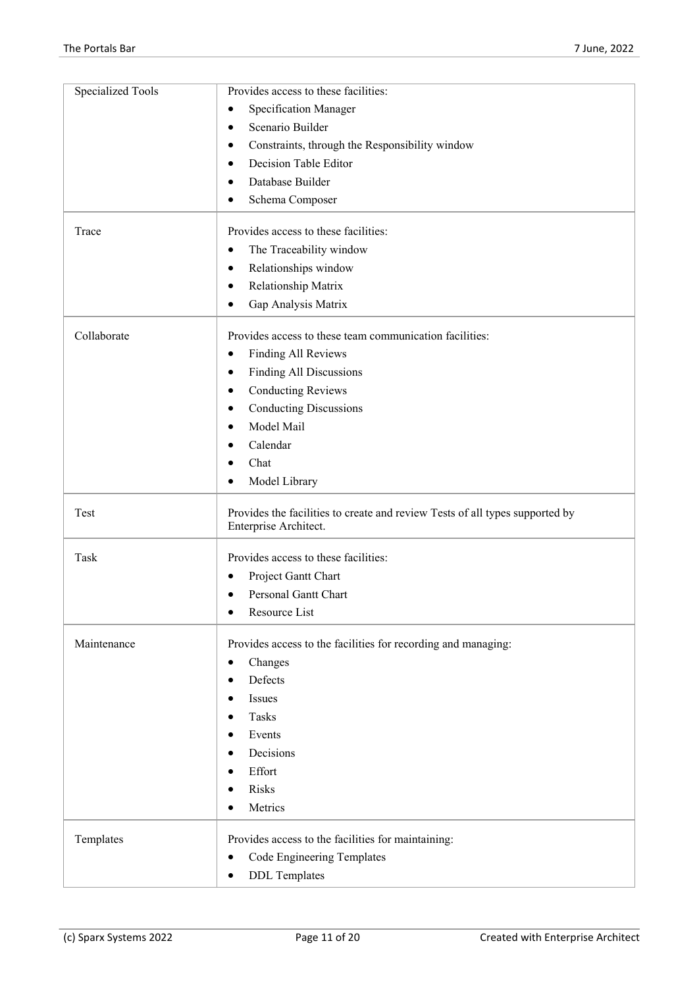| <b>Specialized Tools</b> | Provides access to these facilities:                                                                  |
|--------------------------|-------------------------------------------------------------------------------------------------------|
|                          | Specification Manager                                                                                 |
|                          | Scenario Builder                                                                                      |
|                          | Constraints, through the Responsibility window                                                        |
|                          | Decision Table Editor                                                                                 |
|                          | Database Builder<br>٠                                                                                 |
|                          | Schema Composer                                                                                       |
| Trace                    | Provides access to these facilities:                                                                  |
|                          | The Traceability window                                                                               |
|                          | Relationships window<br>٠                                                                             |
|                          | Relationship Matrix                                                                                   |
|                          | Gap Analysis Matrix                                                                                   |
| Collaborate              | Provides access to these team communication facilities:                                               |
|                          | <b>Finding All Reviews</b>                                                                            |
|                          | Finding All Discussions<br>٠                                                                          |
|                          | <b>Conducting Reviews</b>                                                                             |
|                          | <b>Conducting Discussions</b>                                                                         |
|                          | Model Mail                                                                                            |
|                          | Calendar                                                                                              |
|                          | Chat                                                                                                  |
|                          | Model Library                                                                                         |
| Test                     | Provides the facilities to create and review Tests of all types supported by<br>Enterprise Architect. |
| Task                     | Provides access to these facilities:                                                                  |
|                          | Project Gantt Chart<br>٠                                                                              |
|                          | Personal Gantt Chart                                                                                  |
|                          | Resource List                                                                                         |
| Maintenance              | Provides access to the facilities for recording and managing:                                         |
|                          | Changes                                                                                               |
|                          | Defects                                                                                               |
|                          | Issues                                                                                                |
|                          | Tasks                                                                                                 |
|                          | Events                                                                                                |
|                          | Decisions                                                                                             |
|                          | Effort                                                                                                |
|                          | Risks                                                                                                 |
|                          | Metrics                                                                                               |
| Templates                | Provides access to the facilities for maintaining:                                                    |
|                          | Code Engineering Templates<br>٠                                                                       |
|                          | <b>DDL</b> Templates                                                                                  |
|                          |                                                                                                       |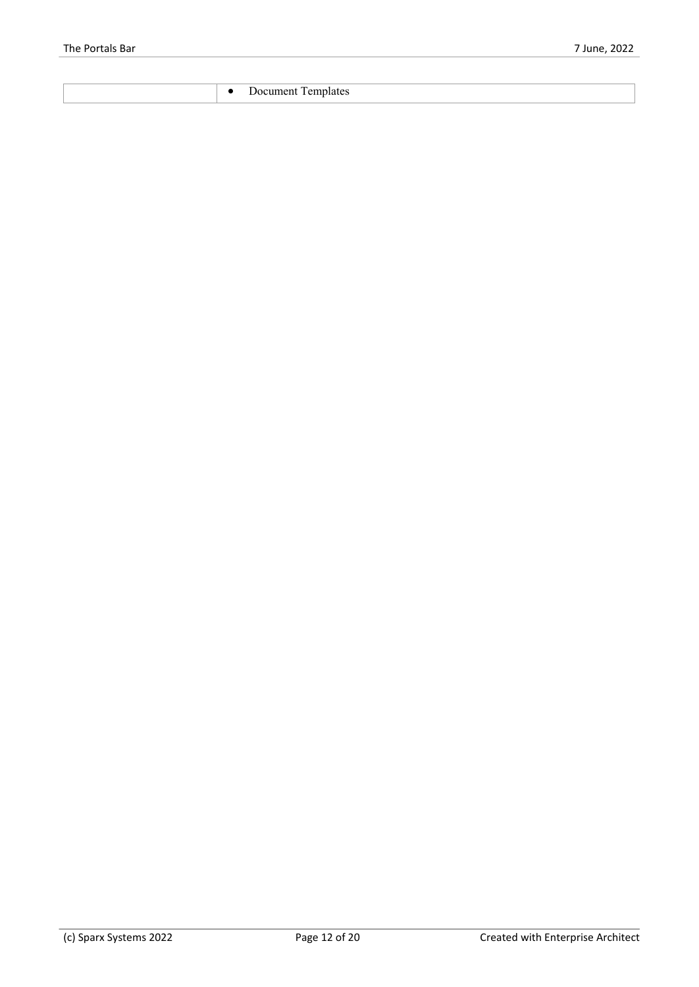|  |  | ----<br><b>HY</b><br>mdiales<br>зниеть<br>.<br>. |
|--|--|--------------------------------------------------|
|--|--|--------------------------------------------------|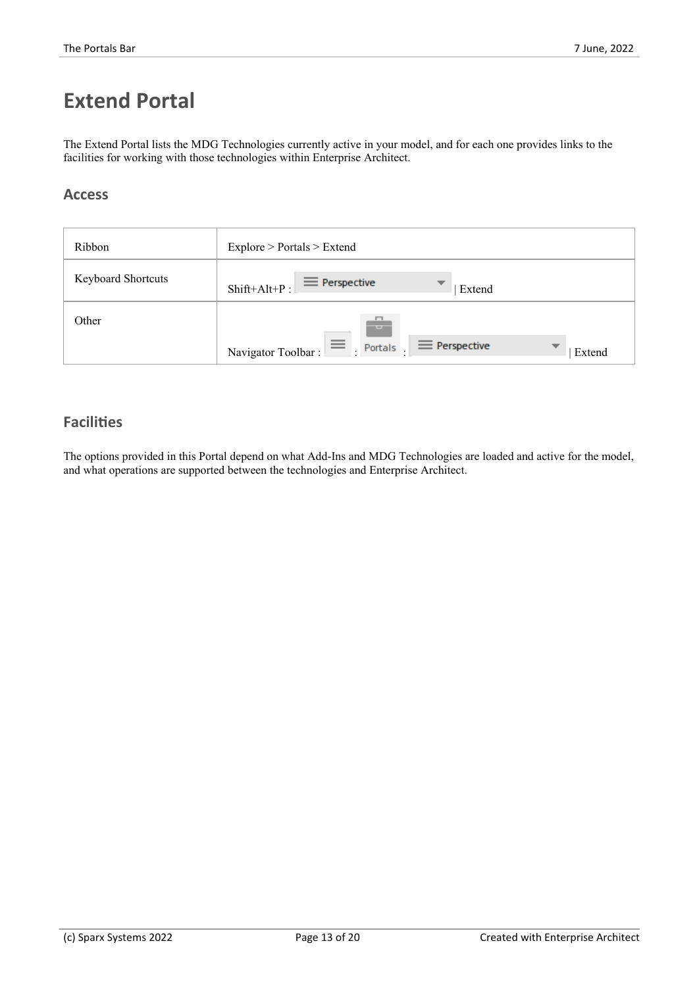## **Extend Portal**

The Extend Portal lists the MDG Technologies currently active in your model, and for each one provides links to the facilities for working with those technologies within Enterprise Architect.

### **Access**

| Ribbon                    | Explore > Portals > Extend                                             |
|---------------------------|------------------------------------------------------------------------|
| <b>Keyboard Shortcuts</b> | $\equiv$ Perspective<br>Shift+Alt+P:<br>Extend                         |
| Other                     | <b>TELESCOPE</b>                                                       |
|                           | $\equiv$ Perspective<br>Portals .<br>▼<br>Navigator Toolbar:<br>Extend |

### **Facilities**

The options provided in this Portal depend on what Add-Ins and MDG Technologies are loaded and active for the model, and what operations are supported between the technologies and Enterprise Architect.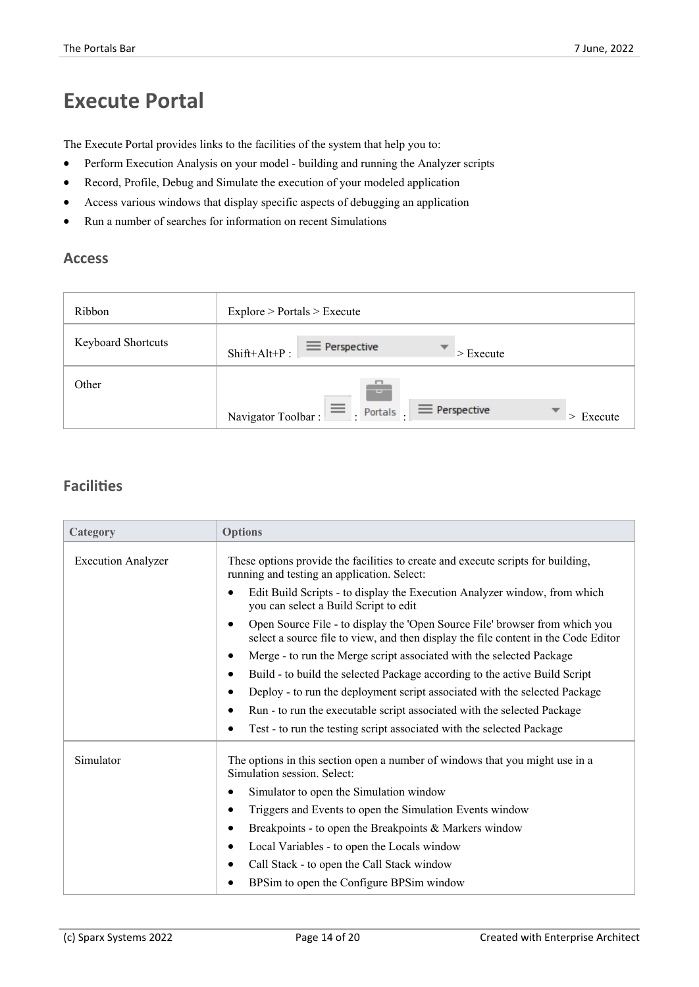### **Execute Portal**

The Execute Portal provides links to the facilities of the system that help you to:

- · Perform Execution Analysis on your model building and running the Analyzer scripts
- Record, Profile, Debug and Simulate the execution of your modeled application
- Access various windows that display specific aspects of debugging an application
- · Run a number of searches for information on recent Simulations

#### **Access**

| Ribbon                    | Explore > Portals > Executive                                                         |
|---------------------------|---------------------------------------------------------------------------------------|
| <b>Keyboard Shortcuts</b> | $\equiv$ Perspective<br>▼<br>Shift+Alt+P:<br>$\blacktriangleright$ Execute            |
| Other                     | $-1$                                                                                  |
|                           | $\equiv$<br>$\equiv$ Perspective<br>Portals<br>▼<br>Navigator Toolbar:<br>$>$ Execute |

| Category                  | <b>Options</b>                                                                                                                                                    |
|---------------------------|-------------------------------------------------------------------------------------------------------------------------------------------------------------------|
| <b>Execution Analyzer</b> | These options provide the facilities to create and execute scripts for building,<br>running and testing an application. Select:                                   |
|                           | Edit Build Scripts - to display the Execution Analyzer window, from which<br>$\bullet$<br>you can select a Build Script to edit                                   |
|                           | Open Source File - to display the 'Open Source File' browser from which you<br>select a source file to view, and then display the file content in the Code Editor |
|                           | Merge - to run the Merge script associated with the selected Package<br>$\bullet$                                                                                 |
|                           | Build - to build the selected Package according to the active Build Script<br>$\bullet$                                                                           |
|                           | Deploy - to run the deployment script associated with the selected Package<br>$\bullet$                                                                           |
|                           | Run - to run the executable script associated with the selected Package                                                                                           |
|                           | Test - to run the testing script associated with the selected Package                                                                                             |
| Simulator                 | The options in this section open a number of windows that you might use in a<br>Simulation session. Select:                                                       |
|                           | Simulator to open the Simulation window                                                                                                                           |
|                           | Triggers and Events to open the Simulation Events window                                                                                                          |
|                           | Breakpoints - to open the Breakpoints $&$ Markers window<br>٠                                                                                                     |
|                           | Local Variables - to open the Locals window<br>٠                                                                                                                  |
|                           | Call Stack - to open the Call Stack window                                                                                                                        |
|                           | BPS im to open the Configure BPS im window                                                                                                                        |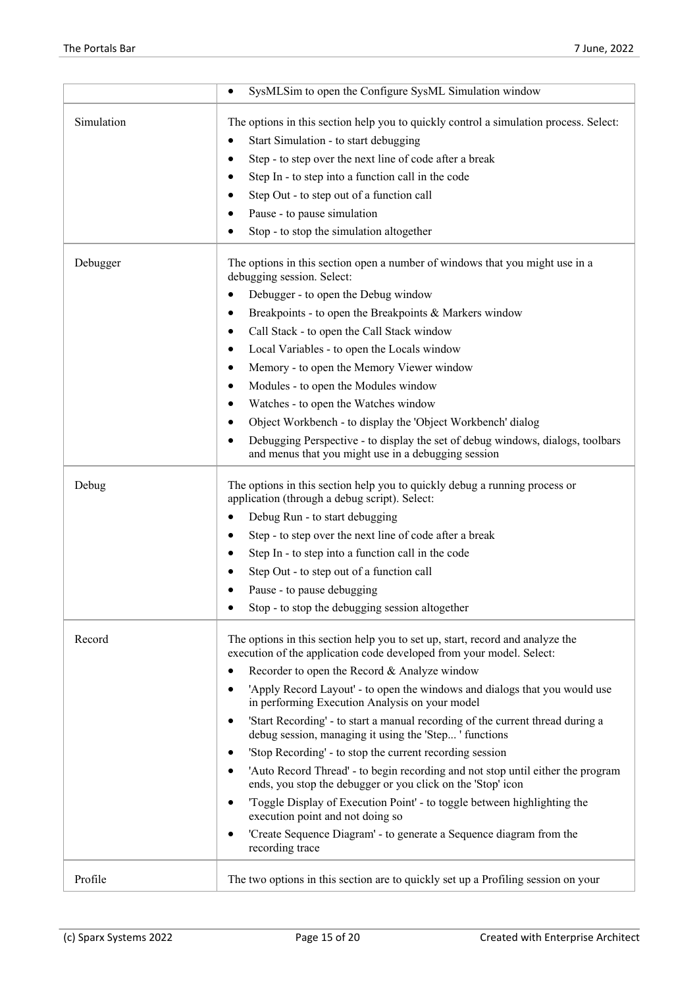|            | SysMLSim to open the Configure SysML Simulation window                                                                                                |
|------------|-------------------------------------------------------------------------------------------------------------------------------------------------------|
| Simulation | The options in this section help you to quickly control a simulation process. Select:                                                                 |
|            | Start Simulation - to start debugging<br>$\bullet$                                                                                                    |
|            | Step - to step over the next line of code after a break                                                                                               |
|            | Step In - to step into a function call in the code                                                                                                    |
|            | Step Out - to step out of a function call                                                                                                             |
|            | Pause - to pause simulation                                                                                                                           |
|            | Stop - to stop the simulation altogether                                                                                                              |
| Debugger   | The options in this section open a number of windows that you might use in a<br>debugging session. Select:                                            |
|            | Debugger - to open the Debug window                                                                                                                   |
|            | Breakpoints - to open the Breakpoints & Markers window                                                                                                |
|            | Call Stack - to open the Call Stack window                                                                                                            |
|            | Local Variables - to open the Locals window                                                                                                           |
|            | Memory - to open the Memory Viewer window<br>$\bullet$                                                                                                |
|            | Modules - to open the Modules window                                                                                                                  |
|            | Watches - to open the Watches window                                                                                                                  |
|            | Object Workbench - to display the 'Object Workbench' dialog                                                                                           |
|            | Debugging Perspective - to display the set of debug windows, dialogs, toolbars<br>and menus that you might use in a debugging session                 |
| Debug      | The options in this section help you to quickly debug a running process or<br>application (through a debug script). Select:                           |
|            | Debug Run - to start debugging                                                                                                                        |
|            | Step - to step over the next line of code after a break                                                                                               |
|            | Step In - to step into a function call in the code                                                                                                    |
|            | Step Out - to step out of a function call                                                                                                             |
|            | Pause - to pause debugging                                                                                                                            |
|            | Stop - to stop the debugging session altogether                                                                                                       |
| Record     | The options in this section help you to set up, start, record and analyze the<br>execution of the application code developed from your model. Select: |
|            | Recorder to open the Record & Analyze window                                                                                                          |
|            | 'Apply Record Layout' - to open the windows and dialogs that you would use<br>in performing Execution Analysis on your model                          |
|            | 'Start Recording' - to start a manual recording of the current thread during a<br>debug session, managing it using the 'Step' functions               |
|            | 'Stop Recording' - to stop the current recording session                                                                                              |
|            | 'Auto Record Thread' - to begin recording and not stop until either the program<br>ends, you stop the debugger or you click on the 'Stop' icon        |
|            | 'Toggle Display of Execution Point' - to toggle between highlighting the<br>execution point and not doing so                                          |
|            | 'Create Sequence Diagram' - to generate a Sequence diagram from the<br>recording trace                                                                |
| Profile    | The two options in this section are to quickly set up a Profiling session on your                                                                     |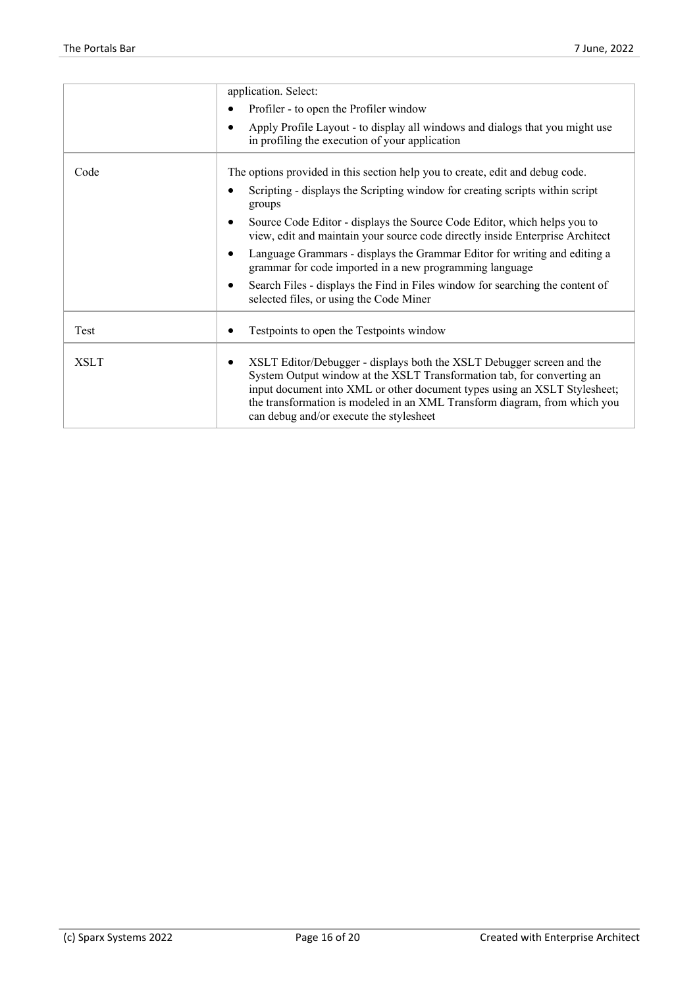| application. Select:<br>Profiler - to open the Profiler window<br>$\bullet$                                                                                                                                                                                                                                                                                                      |
|----------------------------------------------------------------------------------------------------------------------------------------------------------------------------------------------------------------------------------------------------------------------------------------------------------------------------------------------------------------------------------|
|                                                                                                                                                                                                                                                                                                                                                                                  |
|                                                                                                                                                                                                                                                                                                                                                                                  |
| Apply Profile Layout - to display all windows and dialogs that you might use<br>$\bullet$<br>in profiling the execution of your application                                                                                                                                                                                                                                      |
| Code<br>The options provided in this section help you to create, edit and debug code.                                                                                                                                                                                                                                                                                            |
| Scripting - displays the Scripting window for creating scripts within script<br>$\bullet$<br>groups                                                                                                                                                                                                                                                                              |
| Source Code Editor - displays the Source Code Editor, which helps you to<br>$\bullet$<br>view, edit and maintain your source code directly inside Enterprise Architect                                                                                                                                                                                                           |
| Language Grammars - displays the Grammar Editor for writing and editing a<br>$\bullet$<br>grammar for code imported in a new programming language                                                                                                                                                                                                                                |
| Search Files - displays the Find in Files window for searching the content of<br>$\bullet$<br>selected files, or using the Code Miner                                                                                                                                                                                                                                            |
| Testpoints to open the Testpoints window<br>Test                                                                                                                                                                                                                                                                                                                                 |
| <b>XSLT</b><br>XSLT Editor/Debugger - displays both the XSLT Debugger screen and the<br>$\bullet$<br>System Output window at the XSLT Transformation tab, for converting an<br>input document into XML or other document types using an XSLT Stylesheet;<br>the transformation is modeled in an XML Transform diagram, from which you<br>can debug and/or execute the stylesheet |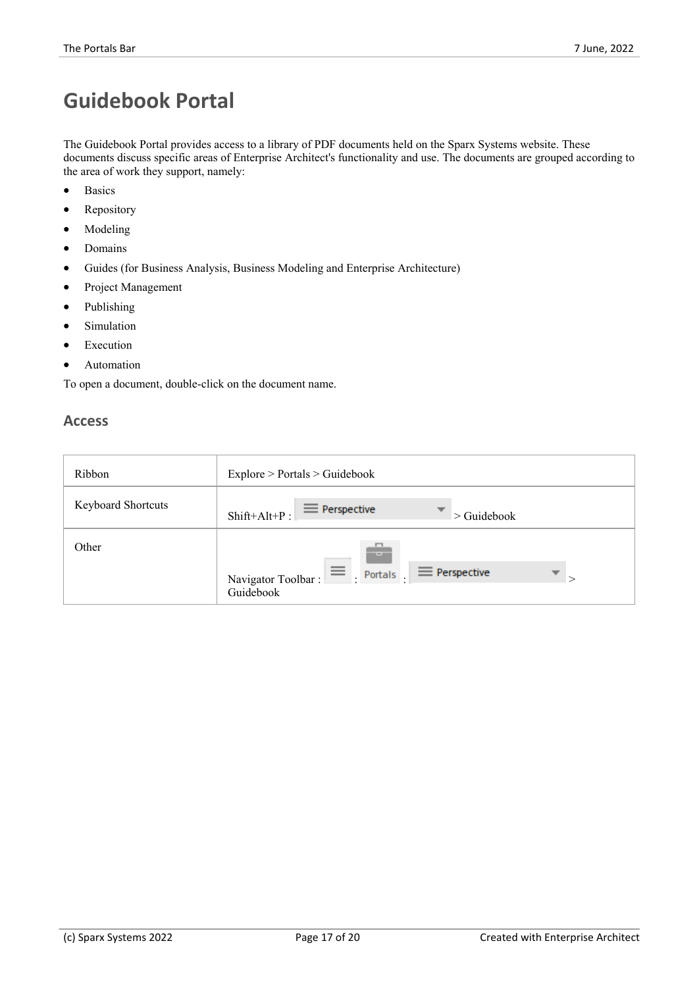# **Guidebook Portal**

The Guidebook Portal provides access to a library of PDF documents held on the Sparx Systems website. These documents discuss specific areas of Enterprise Architect's functionality and use. The documents are grouped according to the area of work they support, namely:

- · Basics
- Repository
- Modeling
- · Domains
- Guides (for Business Analysis, Business Modeling and Enterprise Architecture)
- Project Management
- **Publishing**
- **Simulation**
- **Execution**
- Automation

To open a document, double-click on the document name.

### **Access**

| Ribbon                    | Explore > Portals > Guidebook                                                                                               |
|---------------------------|-----------------------------------------------------------------------------------------------------------------------------|
| <b>Keyboard Shortcuts</b> | $\equiv$ Perspective<br>▼<br>$Shift+Alt+P:$<br>$\geq$ Guidebook                                                             |
| Other                     | n<br><b>COLL</b><br>$\equiv$ Portals<br>$\equiv$ Perspective<br>$\overline{\phantom{a}}$<br>Navigator Toolbar:<br>Guidebook |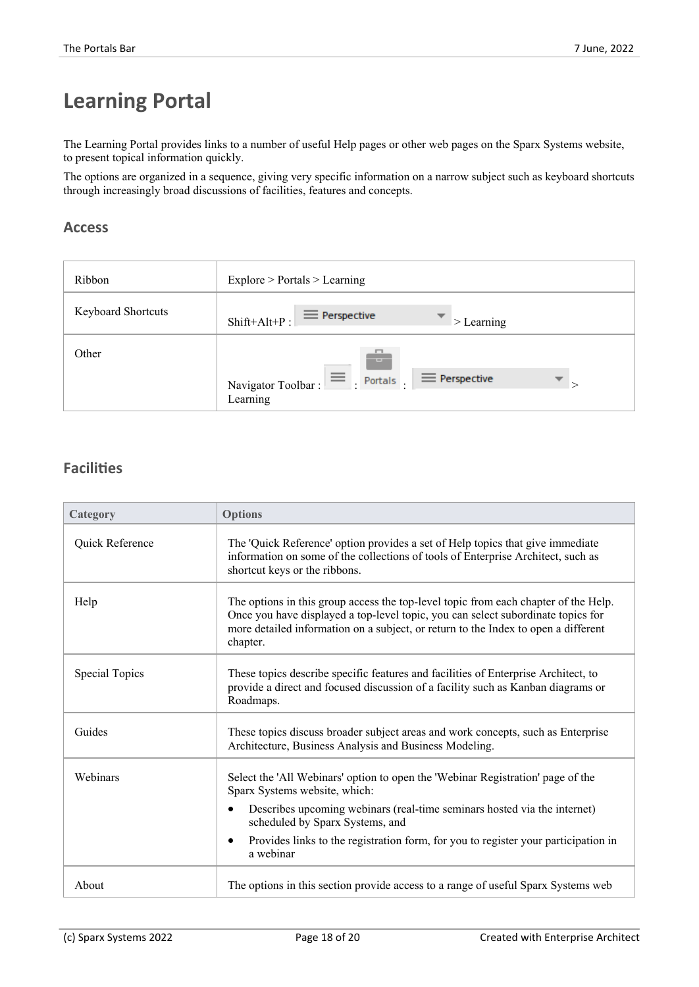# **Learning Portal**

The Learning Portal provides links to a number of useful Help pages orother web pages on the Sparx Systems website, to present topical information quickly.

The options are organized in a sequence, giving very specific information on a narrow subject such as keyboard shortcuts through increasingly broad discussions of facilities, features and concepts.

### **Access**

| Ribbon                    | Explore > Portals > Learning                                                                                    |  |
|---------------------------|-----------------------------------------------------------------------------------------------------------------|--|
| <b>Keyboard Shortcuts</b> | $\equiv$ Perspective<br>$Shift+Alt+P:$<br>$\geq$ Learning                                                       |  |
| Other                     | --<br>$\equiv$<br>$\equiv$ Perspective<br>$\overline{\phantom{a}}$<br>Portals<br>Navigator Toolbar:<br>Learning |  |

| Category              | <b>Options</b>                                                                                                                                                                                                                                                            |
|-----------------------|---------------------------------------------------------------------------------------------------------------------------------------------------------------------------------------------------------------------------------------------------------------------------|
| Quick Reference       | The 'Quick Reference' option provides a set of Help topics that give immediate<br>information on some of the collections of tools of Enterprise Architect, such as<br>shortcut keys or the ribbons.                                                                       |
| Help                  | The options in this group access the top-level topic from each chapter of the Help.<br>Once you have displayed a top-level topic, you can select subordinate topics for<br>more detailed information on a subject, or return to the Index to open a different<br>chapter. |
| <b>Special Topics</b> | These topics describe specific features and facilities of Enterprise Architect, to<br>provide a direct and focused discussion of a facility such as Kanban diagrams or<br>Roadmaps.                                                                                       |
| Guides                | These topics discuss broader subject areas and work concepts, such as Enterprise<br>Architecture, Business Analysis and Business Modeling.                                                                                                                                |
| Webinars              | Select the 'All Webinars' option to open the 'Webinar Registration' page of the<br>Sparx Systems website, which:                                                                                                                                                          |
|                       | Describes upcoming webinars (real-time seminars hosted via the internet)<br>scheduled by Sparx Systems, and                                                                                                                                                               |
|                       | Provides links to the registration form, for you to register your participation in<br>a webinar                                                                                                                                                                           |
| About                 | The options in this section provide access to a range of useful Sparx Systems web                                                                                                                                                                                         |